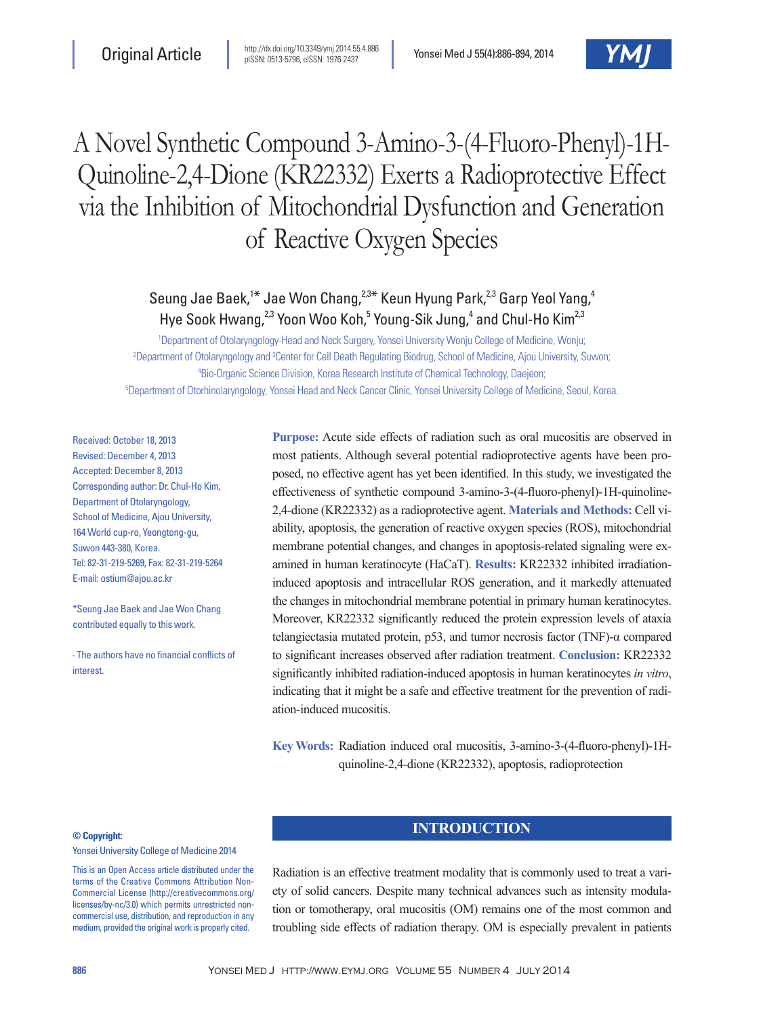# A Novel Synthetic Compound 3-Amino-3-(4-Fluoro-Phenyl)-1H-Quinoline-2,4-Dione (KR22332) Exerts a Radioprotective Effect via the Inhibition of Mitochondrial Dysfunction and Generation of Reactive Oxygen Species

## Seung Jae Baek,<sup>1\*</sup> Jae Won Chang,<sup>2,3\*</sup> Keun Hyung Park,<sup>2,3</sup> Garp Yeol Yang,<sup>4</sup> Hye Sook Hwang,<sup>2,3</sup> Yoon Woo Koh,<sup>5</sup> Young-Sik Jung,<sup>4</sup> and Chul-Ho Kim<sup>2,3</sup>

 Department of Otolaryngology-Head and Neck Surgery, Yonsei University Wonju College of Medicine, Wonju; <sup>2</sup>Department of Otolaryngology and <sup>3</sup>Center for Cell Death Regulating Biodrug, School of Medicine, Ajou University, Suwon; Bio-Organic Science Division, Korea Research Institute of Chemical Technology, Daejeon; Department of Otorhinolaryngology, Yonsei Head and Neck Cancer Clinic, Yonsei University College of Medicine, Seoul, Korea.

Received: October 18, 2013 Revised: December 4, 2013 Accepted: December 8, 2013 Corresponding author: Dr. Chul-Ho Kim, Department of Otolaryngology, School of Medicine, Ajou University, 164 World cup-ro, Yeongtong-gu, Suwon 443-380, Korea. Tel: 82-31-219-5269, Fax: 82-31-219-5264 E-mail: ostium@ajou.ac.kr

\*Seung Jae Baek and Jae Won Chang contributed equally to this work.

∙ The authors have no financial conflicts of **interest** 

**Purpose:** Acute side effects of radiation such as oral mucositis are observed in most patients. Although several potential radioprotective agents have been proposed, no effective agent has yet been identified. In this study, we investigated the effectiveness of synthetic compound 3-amino-3-(4-fluoro-phenyl)-1H-quinoline-2,4-dione (KR22332) as a radioprotective agent. **Materials and Methods:** Cell viability, apoptosis, the generation of reactive oxygen species (ROS), mitochondrial membrane potential changes, and changes in apoptosis-related signaling were examined in human keratinocyte (HaCaT). **Results:** KR22332 inhibited irradiationinduced apoptosis and intracellular ROS generation, and it markedly attenuated the changes in mitochondrial membrane potential in primary human keratinocytes. Moreover, KR22332 significantly reduced the protein expression levels of ataxia telangiectasia mutated protein, p53, and tumor necrosis factor (TNF)-α compared to significant increases observed after radiation treatment. **Conclusion:** KR22332 significantly inhibited radiation-induced apoptosis in human keratinocytes *in vitro*, indicating that it might be a safe and effective treatment for the prevention of radiation-induced mucositis.

**Key Words:** Radiation induced oral mucositis, 3-amino-3-(4-fluoro-phenyl)-1Hquinoline-2,4-dione (KR22332), apoptosis, radioprotection

#### **© Copyright:**

Yonsei University College of Medicine 2014

This is an Open Access article distributed under the terms of the Creative Commons Attribution Non-Commercial License (http://creativecommons.org/ licenses/by-nc/3.0) which permits unrestricted noncommercial use, distribution, and reproduction in any medium, provided the original work is properly cited.

## **INTRODUCTION**

Radiation is an effective treatment modality that is commonly used to treat a variety of solid cancers. Despite many technical advances such as intensity modulation or tomotherapy, oral mucositis (OM) remains one of the most common and troubling side effects of radiation therapy. OM is especially prevalent in patients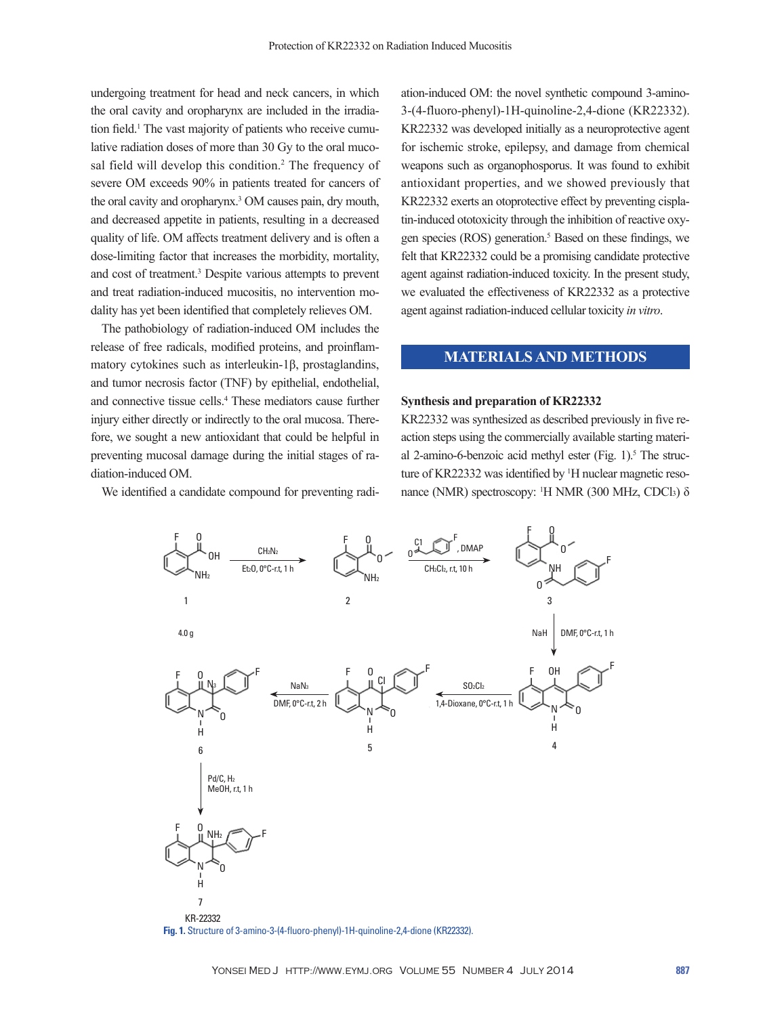undergoing treatment for head and neck cancers, in which the oral cavity and oropharynx are included in the irradiation field.<sup>1</sup> The vast majority of patients who receive cumulative radiation doses of more than 30 Gy to the oral mucosal field will develop this condition.<sup>2</sup> The frequency of severe OM exceeds 90% in patients treated for cancers of the oral cavity and oropharynx.3 OM causes pain, dry mouth, and decreased appetite in patients, resulting in a decreased quality of life. OM affects treatment delivery and is often a dose-limiting factor that increases the morbidity, mortality, and cost of treatment.3 Despite various attempts to prevent and treat radiation-induced mucositis, no intervention modality has yet been identified that completely relieves OM.

The pathobiology of radiation-induced OM includes the release of free radicals, modified proteins, and proinflammatory cytokines such as interleukin-1β, prostaglandins, and tumor necrosis factor (TNF) by epithelial, endothelial, and connective tissue cells.4 These mediators cause further injury either directly or indirectly to the oral mucosa. Therefore, we sought a new antioxidant that could be helpful in preventing mucosal damage during the initial stages of radiation-induced OM.

We identified a candidate compound for preventing radi-

ation-induced OM: the novel synthetic compound 3-amino-3-(4-fluoro-phenyl)-1H-quinoline-2,4-dione (KR22332). KR22332 was developed initially as a neuroprotective agent for ischemic stroke, epilepsy, and damage from chemical weapons such as organophosporus. It was found to exhibit antioxidant properties, and we showed previously that KR22332 exerts an otoprotective effect by preventing cisplatin-induced ototoxicity through the inhibition of reactive oxygen species (ROS) generation.<sup>5</sup> Based on these findings, we felt that KR22332 could be a promising candidate protective agent against radiation-induced toxicity. In the present study, we evaluated the effectiveness of KR22332 as a protective agent against radiation-induced cellular toxicity *in vitro*.

## **MATERIALS AND METHODS**

#### **Synthesis and preparation of KR22332**

KR22332 was synthesized as described previously in five reaction steps using the commercially available starting material 2-amino-6-benzoic acid methyl ester (Fig. 1).<sup>5</sup> The structure of KR22332 was identified by <sup>1</sup>H nuclear magnetic resonance (NMR) spectroscopy: <sup>1</sup>H NMR (300 MHz, CDCl3) δ



**Fig. 1.** Structure of 3-amino-3-(4-fluoro-phenyl)-1H-quinoline-2,4-dione (KR22332).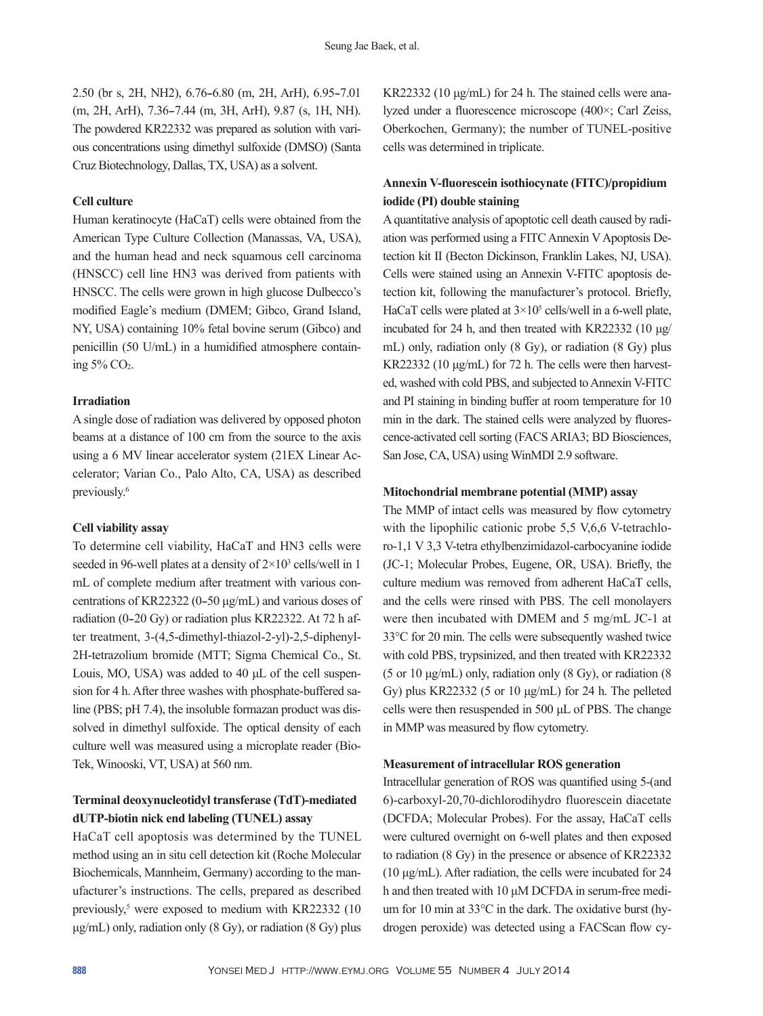2.50 (br s, 2H, NH2), 6.76-6.80 (m, 2H, ArH), 6.95-7.01 (m, 2H, ArH), 7.36–7.44 (m, 3H, ArH), 9.87 (s, 1H, NH). The powdered KR22332 was prepared as solution with various concentrations using dimethyl sulfoxide (DMSO) (Santa Cruz Biotechnology, Dallas, TX, USA) as a solvent.

## **Cell culture**

Human keratinocyte (HaCaT) cells were obtained from the American Type Culture Collection (Manassas, VA, USA), and the human head and neck squamous cell carcinoma (HNSCC) cell line HN3 was derived from patients with HNSCC. The cells were grown in high glucose Dulbecco's modified Eagle's medium (DMEM; Gibco, Grand Island, NY, USA) containing 10% fetal bovine serum (Gibco) and penicillin (50 U/mL) in a humidified atmosphere containing  $5\%$  CO<sub>2</sub>.

#### **Irradiation**

A single dose of radiation was delivered by opposed photon beams at a distance of 100 cm from the source to the axis using a 6 MV linear accelerator system (21EX Linear Accelerator; Varian Co., Palo Alto, CA, USA) as described previously.6

#### **Cell viability assay**

To determine cell viability, HaCaT and HN3 cells were seeded in 96-well plates at a density of  $2 \times 10^3$  cells/well in 1 mL of complete medium after treatment with various concentrations of KR22322 (0-50  $\mu$ g/mL) and various doses of radiation (0-20 Gy) or radiation plus KR22322. At 72 h after treatment, 3-(4,5-dimethyl-thiazol-2-yl)-2,5-diphenyl-2H-tetrazolium bromide (MTT; Sigma Chemical Co., St. Louis, MO, USA) was added to 40 μL of the cell suspension for 4 h. After three washes with phosphate-buffered saline (PBS; pH 7.4), the insoluble formazan product was dissolved in dimethyl sulfoxide. The optical density of each culture well was measured using a microplate reader (Bio-Tek, Winooski, VT, USA) at 560 nm.

## **Terminal deoxynucleotidyl transferase (TdT)-mediated dUTP-biotin nick end labeling (TUNEL) assay**

HaCaT cell apoptosis was determined by the TUNEL method using an in situ cell detection kit (Roche Molecular Biochemicals, Mannheim, Germany) according to the manufacturer's instructions. The cells, prepared as described previously,<sup>5</sup> were exposed to medium with KR22332 (10 μg/mL) only, radiation only (8 Gy), or radiation (8 Gy) plus

KR22332 (10 μg/mL) for 24 h. The stained cells were analyzed under a fluorescence microscope (400×; Carl Zeiss, Oberkochen, Germany); the number of TUNEL-positive cells was determined in triplicate.

## **Annexin V-fluorescein isothiocynate (FITC)/propidium iodide (PI) double staining**

A quantitative analysis of apoptotic cell death caused by radiation was performed using a FITC Annexin V Apoptosis Detection kit II (Becton Dickinson, Franklin Lakes, NJ, USA). Cells were stained using an Annexin V-FITC apoptosis detection kit, following the manufacturer's protocol. Briefly, HaCaT cells were plated at  $3 \times 10^5$  cells/well in a 6-well plate, incubated for 24 h, and then treated with KR22332 (10 μg/ mL) only, radiation only (8 Gy), or radiation (8 Gy) plus KR22332 (10 μg/mL) for 72 h. The cells were then harvested, washed with cold PBS, and subjected to Annexin V-FITC and PI staining in binding buffer at room temperature for 10 min in the dark. The stained cells were analyzed by fluorescence-activated cell sorting (FACS ARIA3; BD Biosciences, San Jose, CA, USA) using WinMDI 2.9 software.

### **Mitochondrial membrane potential (MMP) assay**

The MMP of intact cells was measured by flow cytometry with the lipophilic cationic probe 5,5 V,6,6 V-tetrachloro-1,1 V 3,3 V-tetra ethylbenzimidazol-carbocyanine iodide (JC-1; Molecular Probes, Eugene, OR, USA). Briefly, the culture medium was removed from adherent HaCaT cells, and the cells were rinsed with PBS. The cell monolayers were then incubated with DMEM and 5 mg/mL JC-1 at 33°C for 20 min. The cells were subsequently washed twice with cold PBS, trypsinized, and then treated with KR22332 (5 or 10 μg/mL) only, radiation only (8 Gy), or radiation (8 Gy) plus KR22332 (5 or 10 μg/mL) for 24 h. The pelleted cells were then resuspended in 500 μL of PBS. The change in MMP was measured by flow cytometry.

#### **Measurement of intracellular ROS generation**

Intracellular generation of ROS was quantified using 5-(and 6)-carboxyl-20,70-dichlorodihydro fluorescein diacetate (DCFDA; Molecular Probes). For the assay, HaCaT cells were cultured overnight on 6-well plates and then exposed to radiation (8 Gy) in the presence or absence of KR22332 (10 μg/mL). After radiation, the cells were incubated for 24 h and then treated with 10 μM DCFDA in serum-free medium for 10 min at 33°C in the dark. The oxidative burst (hydrogen peroxide) was detected using a FACScan flow cy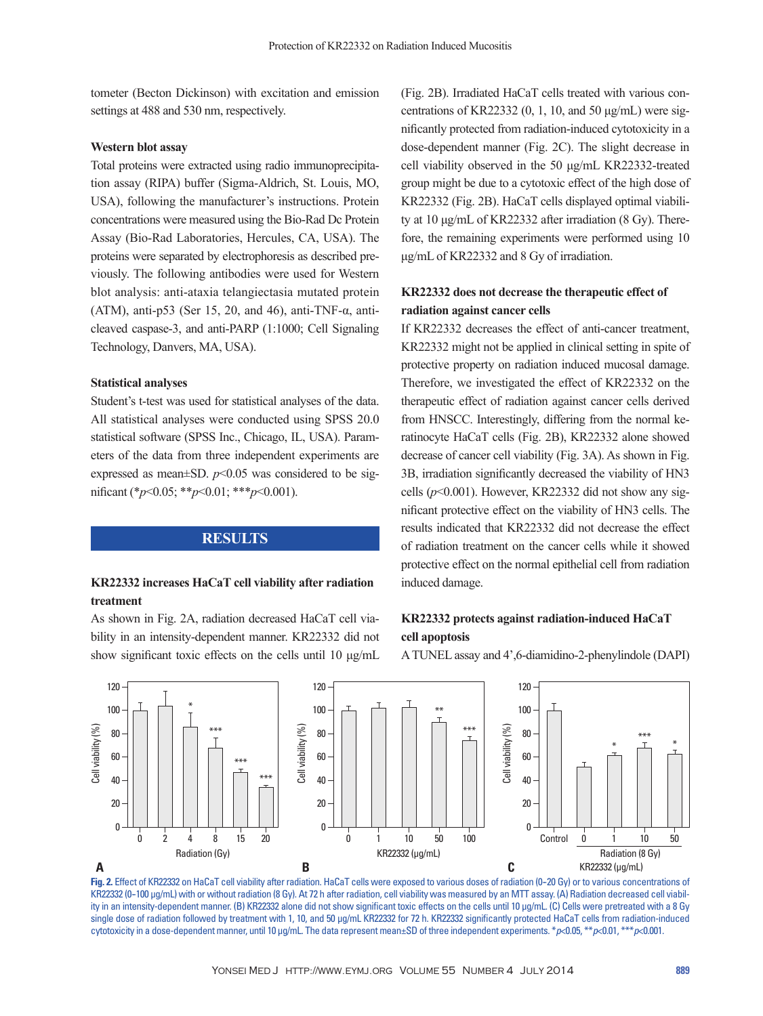tometer (Becton Dickinson) with excitation and emission settings at 488 and 530 nm, respectively.

#### **Western blot assay**

Total proteins were extracted using radio immunoprecipitation assay (RIPA) buffer (Sigma-Aldrich, St. Louis, MO, USA), following the manufacturer's instructions. Protein concentrations were measured using the Bio-Rad Dc Protein Assay (Bio-Rad Laboratories, Hercules, CA, USA). The proteins were separated by electrophoresis as described previously. The following antibodies were used for Western blot analysis: anti-ataxia telangiectasia mutated protein (ATM), anti-p53 (Ser 15, 20, and 46), anti-TNF- $\alpha$ , anticleaved caspase-3, and anti-PARP (1:1000; Cell Signaling Technology, Danvers, MA, USA).

#### **Statistical analyses**

Student's t-test was used for statistical analyses of the data. All statistical analyses were conducted using SPSS 20.0 statistical software (SPSS Inc., Chicago, IL, USA). Parameters of the data from three independent experiments are expressed as mean $\pm$ SD.  $p$ <0.05 was considered to be significant (\**p*<0.05; \*\**p*<0.01; \*\*\**p*<0.001).

#### **RESULTS**

## **KR22332 increases HaCaT cell viability after radiation treatment**

As shown in Fig. 2A, radiation decreased HaCaT cell viability in an intensity-dependent manner. KR22332 did not show significant toxic effects on the cells until 10 μg/mL (Fig. 2B). Irradiated HaCaT cells treated with various concentrations of KR22332  $(0, 1, 10, \text{ and } 50 \text{ µg/mL})$  were significantly protected from radiation-induced cytotoxicity in a dose-dependent manner (Fig. 2C). The slight decrease in cell viability observed in the 50 μg/mL KR22332-treated group might be due to a cytotoxic effect of the high dose of KR22332 (Fig. 2B). HaCaT cells displayed optimal viability at 10 μg/mL of KR22332 after irradiation (8 Gy). Therefore, the remaining experiments were performed using 10 μg/mL of KR22332 and 8 Gy of irradiation.

## **KR22332 does not decrease the therapeutic effect of radiation against cancer cells**

If KR22332 decreases the effect of anti-cancer treatment, KR22332 might not be applied in clinical setting in spite of protective property on radiation induced mucosal damage. Therefore, we investigated the effect of KR22332 on the therapeutic effect of radiation against cancer cells derived from HNSCC. Interestingly, differing from the normal keratinocyte HaCaT cells (Fig. 2B), KR22332 alone showed decrease of cancer cell viability (Fig. 3A). As shown in Fig. 3B, irradiation significantly decreased the viability of HN3 cells (*p*<0.001). However, KR22332 did not show any significant protective effect on the viability of HN3 cells. The results indicated that KR22332 did not decrease the effect of radiation treatment on the cancer cells while it showed protective effect on the normal epithelial cell from radiation induced damage.

## **KR22332 protects against radiation-induced HaCaT cell apoptosis**

A TUNEL assay and 4',6-diamidino-2-phenylindole (DAPI)



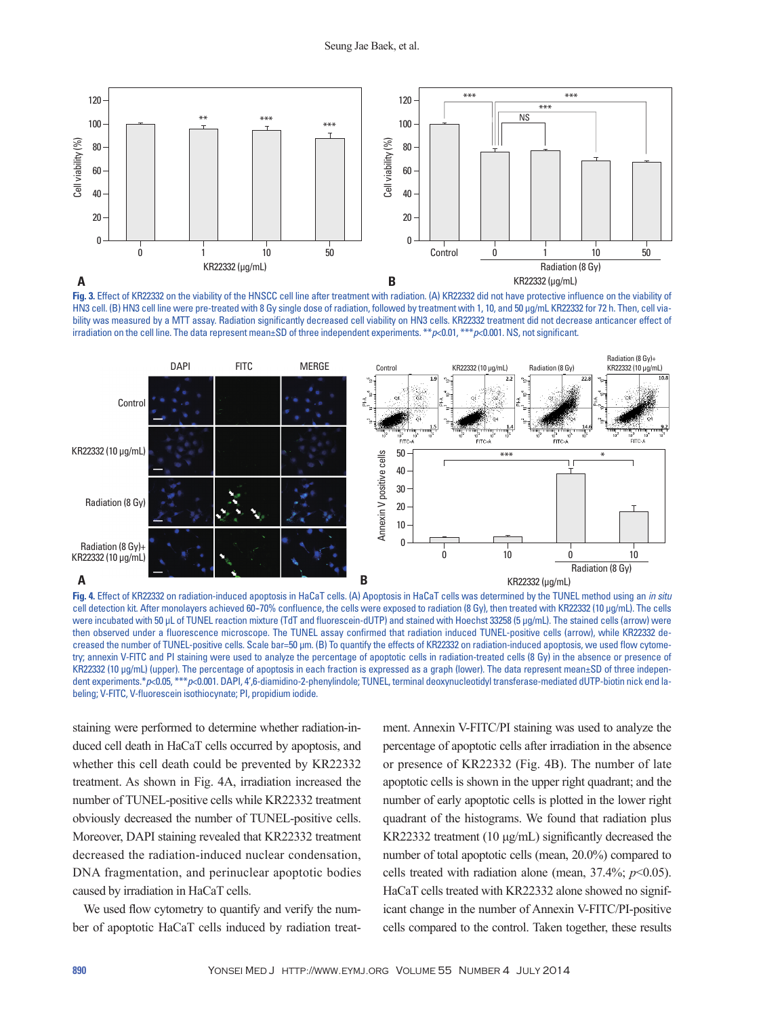

**Fig. 3.** Effect of KR22332 on the viability of the HNSCC cell line after treatment with radiation. (A) KR22332 did not have protective influence on the viability of HN3 cell. (B) HN3 cell line were pre-treated with 8 Gy single dose of radiation, followed by treatment with 1, 10, and 50 μg/mL KR22332 for 72 h. Then, cell viability was measured by a MTT assay. Radiation significantly decreased cell viability on HN3 cells. KR22332 treatment did not decrease anticancer effect of irradiation on the cell line. The data represent mean±SD of three independent experiments. \*\**p*<0.01, \*\*\**p*<0.001. NS, not significant.



**Fig. 4.** Effect of KR22332 on radiation-induced apoptosis in HaCaT cells. (A) Apoptosis in HaCaT cells was determined by the TUNEL method using an *in situ* cell detection kit. After monolayers achieved 60--70% confluence, the cells were exposed to radiation (8 Gy), then treated with KR22332 (10 μg/mL). The cells were incubated with 50 μL of TUNEL reaction mixture (TdT and fluorescein-dUTP) and stained with Hoechst 33258 (5 μg/mL). The stained cells (arrow) were then observed under a fluorescence microscope. The TUNEL assay confirmed that radiation induced TUNEL-positive cells (arrow), while KR22332 decreased the number of TUNEL-positive cells. Scale bar=50 μm. (B) To quantify the effects of KR22332 on radiation-induced apoptosis, we used flow cytometry; annexin V-FITC and PI staining were used to analyze the percentage of apoptotic cells in radiation-treated cells (8 Gy) in the absence or presence of KR22332 (10 μg/mL) (upper). The percentage of apoptosis in each fraction is expressed as a graph (lower). The data represent mean±SD of three independent experiments.\**p*<0.05, \*\*\**p*<0.001. DAPI, 4',6-diamidino-2-phenylindole; TUNEL, terminal deoxynucleotidyl transferase-mediated dUTP-biotin nick end labeling; V-FITC, V-fluorescein isothiocynate; PI, propidium iodide.

staining were performed to determine whether radiation-induced cell death in HaCaT cells occurred by apoptosis, and whether this cell death could be prevented by KR22332 treatment. As shown in Fig. 4A, irradiation increased the number of TUNEL-positive cells while KR22332 treatment obviously decreased the number of TUNEL-positive cells. Moreover, DAPI staining revealed that KR22332 treatment decreased the radiation-induced nuclear condensation, DNA fragmentation, and perinuclear apoptotic bodies caused by irradiation in HaCaT cells.

We used flow cytometry to quantify and verify the number of apoptotic HaCaT cells induced by radiation treatment. Annexin V-FITC/PI staining was used to analyze the percentage of apoptotic cells after irradiation in the absence or presence of KR22332 (Fig. 4B). The number of late apoptotic cells is shown in the upper right quadrant; and the number of early apoptotic cells is plotted in the lower right quadrant of the histograms. We found that radiation plus KR22332 treatment (10 μg/mL) significantly decreased the number of total apoptotic cells (mean, 20.0%) compared to cells treated with radiation alone (mean,  $37.4\%$ ;  $p<0.05$ ). HaCaT cells treated with KR22332 alone showed no significant change in the number of Annexin V-FITC/PI-positive cells compared to the control. Taken together, these results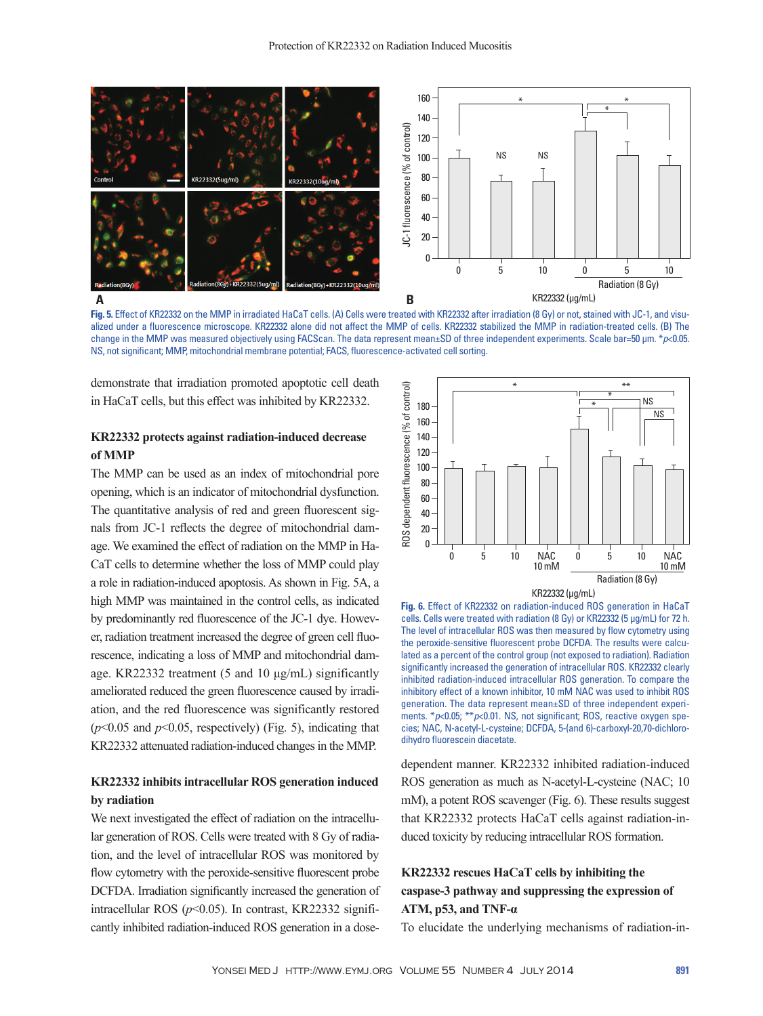

**Fig. 5.** Effect of KR22332 on the MMP in irradiated HaCaT cells. (A) Cells were treated with KR22332 after irradiation (8 Gy) or not, stained with JC-1, and visualized under a fluorescence microscope. KR22332 alone did not affect the MMP of cells. KR22332 stabilized the MMP in radiation-treated cells. (B) The change in the MMP was measured objectively using FACScan. The data represent mean±SD of three independent experiments. Scale bar=50 μm. \**p*<0.05. NS, not significant; MMP, mitochondrial membrane potential; FACS, fluorescence-activated cell sorting.

demonstrate that irradiation promoted apoptotic cell death in HaCaT cells, but this effect was inhibited by KR22332.

## **KR22332 protects against radiation-induced decrease of MMP**

The MMP can be used as an index of mitochondrial pore opening, which is an indicator of mitochondrial dysfunction. The quantitative analysis of red and green fluorescent signals from JC-1 reflects the degree of mitochondrial damage. We examined the effect of radiation on the MMP in Ha-CaT cells to determine whether the loss of MMP could play a role in radiation-induced apoptosis. As shown in Fig. 5A, a high MMP was maintained in the control cells, as indicated by predominantly red fluorescence of the JC-1 dye. However, radiation treatment increased the degree of green cell fluorescence, indicating a loss of MMP and mitochondrial damage. KR22332 treatment (5 and 10 μg/mL) significantly ameliorated reduced the green fluorescence caused by irradiation, and the red fluorescence was significantly restored  $(p<0.05$  and  $p<0.05$ , respectively) (Fig. 5), indicating that KR22332 attenuated radiation-induced changes in the MMP.

## **KR22332 inhibits intracellular ROS generation induced by radiation**

We next investigated the effect of radiation on the intracellular generation of ROS. Cells were treated with 8 Gy of radiation, and the level of intracellular ROS was monitored by flow cytometry with the peroxide-sensitive fluorescent probe DCFDA. Irradiation significantly increased the generation of intracellular ROS  $(p<0.05)$ . In contrast, KR22332 significantly inhibited radiation-induced ROS generation in a dose-



**Fig. 6.** Effect of KR22332 on radiation-induced ROS generation in HaCaT cells. Cells were treated with radiation (8 Gy) or KR22332 (5 μg/mL) for 72 h. The level of intracellular ROS was then measured by flow cytometry using the peroxide-sensitive fluorescent probe DCFDA. The results were calculated as a percent of the control group (not exposed to radiation). Radiation significantly increased the generation of intracellular ROS. KR22332 clearly inhibited radiation-induced intracellular ROS generation. To compare the inhibitory effect of a known inhibitor, 10 mM NAC was used to inhibit ROS generation. The data represent mean±SD of three independent experiments. \**p*<0.05; \*\**p*<0.01. NS, not significant; ROS, reactive oxygen species; NAC, N-acetyl-L-cysteine; DCFDA, 5-(and 6)-carboxyl-20,70-dichlorodihydro fluorescein diacetate.

dependent manner. KR22332 inhibited radiation-induced ROS generation as much as N-acetyl-L-cysteine (NAC; 10 mM), a potent ROS scavenger (Fig. 6). These results suggest that KR22332 protects HaCaT cells against radiation-induced toxicity by reducing intracellular ROS formation.

## **KR22332 rescues HaCaT cells by inhibiting the caspase-3 pathway and suppressing the expression of ATM, p53, and TNF-α**

To elucidate the underlying mechanisms of radiation-in-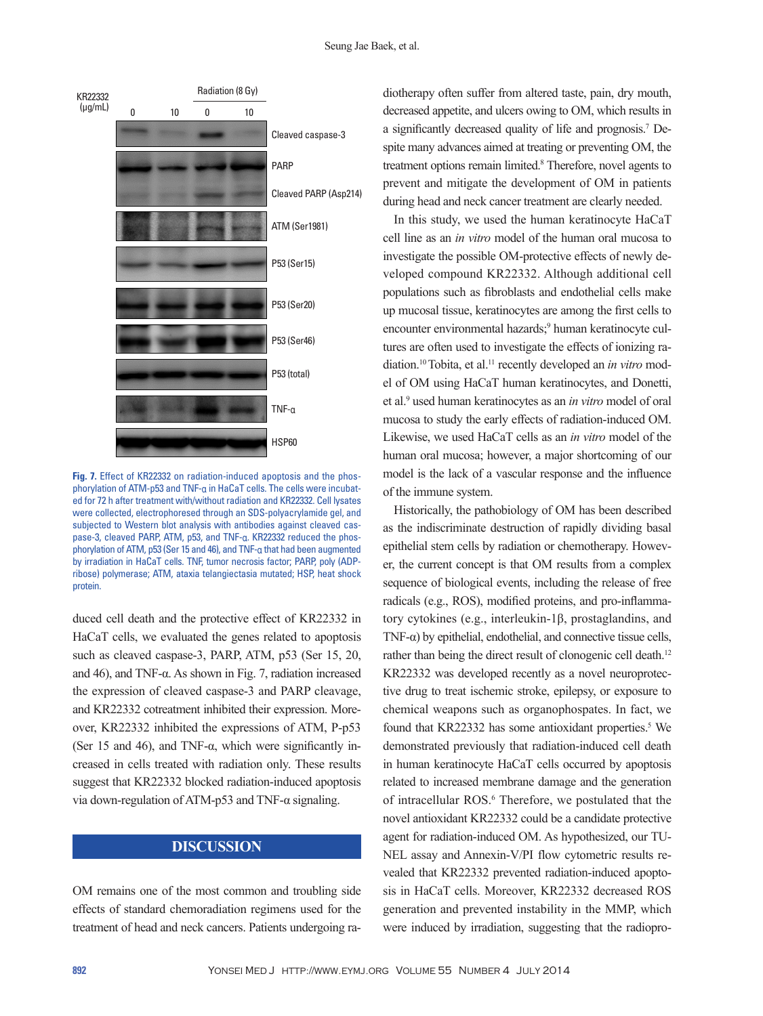

**Fig. 7.** Effect of KR22332 on radiation-induced apoptosis and the phosphorylation of ATM-p53 and TNF-α in HaCaT cells. The cells were incubated for 72 h after treatment with/without radiation and KR22332. Cell lysates were collected, electrophoresed through an SDS-polyacrylamide gel, and subjected to Western blot analysis with antibodies against cleaved caspase-3, cleaved PARP, ATM, p53, and TNF-α. KR22332 reduced the phosphorylation of ATM, p53 (Ser 15 and 46), and TNF-α that had been augmented by irradiation in HaCaT cells. TNF, tumor necrosis factor; PARP, poly (ADPribose) polymerase; ATM, ataxia telangiectasia mutated; HSP, heat shock protein.

duced cell death and the protective effect of KR22332 in HaCaT cells, we evaluated the genes related to apoptosis such as cleaved caspase-3, PARP, ATM, p53 (Ser 15, 20, and 46), and TNF- $\alpha$ . As shown in Fig. 7, radiation increased the expression of cleaved caspase-3 and PARP cleavage, and KR22332 cotreatment inhibited their expression. Moreover, KR22332 inhibited the expressions of ATM, P-p53 (Ser 15 and 46), and TNF- $\alpha$ , which were significantly increased in cells treated with radiation only. These results suggest that KR22332 blocked radiation-induced apoptosis via down-regulation of ATM-p53 and TNF-α signaling.

## **DISCUSSION**

OM remains one of the most common and troubling side effects of standard chemoradiation regimens used for the treatment of head and neck cancers. Patients undergoing ra-

diotherapy often suffer from altered taste, pain, dry mouth, decreased appetite, and ulcers owing to OM, which results in a significantly decreased quality of life and prognosis.7 Despite many advances aimed at treating or preventing OM, the treatment options remain limited.<sup>8</sup> Therefore, novel agents to prevent and mitigate the development of OM in patients during head and neck cancer treatment are clearly needed.

In this study, we used the human keratinocyte HaCaT cell line as an *in vitro* model of the human oral mucosa to investigate the possible OM-protective effects of newly developed compound KR22332. Although additional cell populations such as fibroblasts and endothelial cells make up mucosal tissue, keratinocytes are among the first cells to encounter environmental hazards;<sup>9</sup> human keratinocyte cultures are often used to investigate the effects of ionizing radiation.10 Tobita, et al.11 recently developed an *in vitro* model of OM using HaCaT human keratinocytes, and Donetti, et al.9 used human keratinocytes as an *in vitro* model of oral mucosa to study the early effects of radiation-induced OM. Likewise, we used HaCaT cells as an *in vitro* model of the human oral mucosa; however, a major shortcoming of our model is the lack of a vascular response and the influence of the immune system.

Historically, the pathobiology of OM has been described as the indiscriminate destruction of rapidly dividing basal epithelial stem cells by radiation or chemotherapy. However, the current concept is that OM results from a complex sequence of biological events, including the release of free radicals (e.g., ROS), modified proteins, and pro-inflammatory cytokines (e.g., interleukin-1β, prostaglandins, and TNF- $\alpha$ ) by epithelial, endothelial, and connective tissue cells, rather than being the direct result of clonogenic cell death.<sup>12</sup> KR22332 was developed recently as a novel neuroprotective drug to treat ischemic stroke, epilepsy, or exposure to chemical weapons such as organophospates. In fact, we found that KR22332 has some antioxidant properties.<sup>5</sup> We demonstrated previously that radiation-induced cell death in human keratinocyte HaCaT cells occurred by apoptosis related to increased membrane damage and the generation of intracellular ROS.<sup>6</sup> Therefore, we postulated that the novel antioxidant KR22332 could be a candidate protective agent for radiation-induced OM. As hypothesized, our TU-NEL assay and Annexin-V/PI flow cytometric results revealed that KR22332 prevented radiation-induced apoptosis in HaCaT cells. Moreover, KR22332 decreased ROS generation and prevented instability in the MMP, which were induced by irradiation, suggesting that the radiopro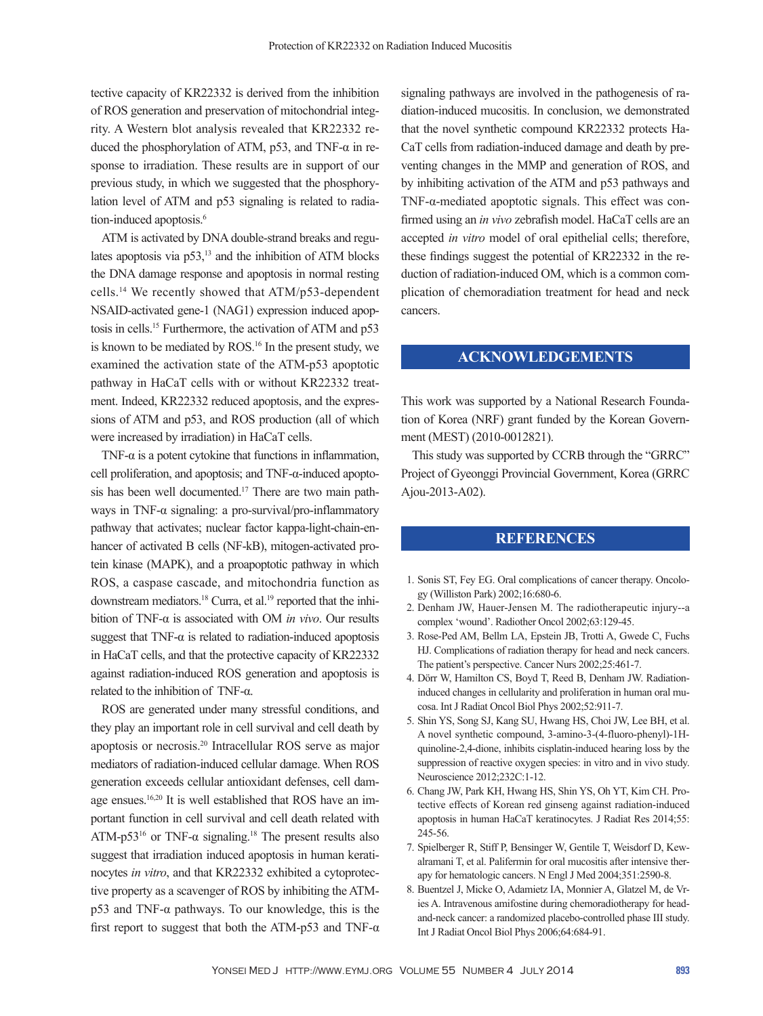tective capacity of KR22332 is derived from the inhibition of ROS generation and preservation of mitochondrial integrity. A Western blot analysis revealed that KR22332 reduced the phosphorylation of ATM, p53, and TNF- $\alpha$  in response to irradiation. These results are in support of our previous study, in which we suggested that the phosphorylation level of ATM and p53 signaling is related to radiation-induced apoptosis.<sup>6</sup>

ATM is activated by DNA double-strand breaks and regulates apoptosis via  $p53$ ,<sup>13</sup> and the inhibition of ATM blocks the DNA damage response and apoptosis in normal resting cells.14 We recently showed that ATM/p53-dependent NSAID-activated gene-1 (NAG1) expression induced apoptosis in cells.15 Furthermore, the activation of ATM and p53 is known to be mediated by ROS.<sup>16</sup> In the present study, we examined the activation state of the ATM-p53 apoptotic pathway in HaCaT cells with or without KR22332 treatment. Indeed, KR22332 reduced apoptosis, and the expressions of ATM and p53, and ROS production (all of which were increased by irradiation) in HaCaT cells.

TNF- $\alpha$  is a potent cytokine that functions in inflammation, cell proliferation, and apoptosis; and TNF-α-induced apoptosis has been well documented.<sup>17</sup> There are two main pathways in TNF-α signaling: a pro-survival/pro-inflammatory pathway that activates; nuclear factor kappa-light-chain-enhancer of activated B cells (NF-kB), mitogen-activated protein kinase (MAPK), and a proapoptotic pathway in which ROS, a caspase cascade, and mitochondria function as downstream mediators.<sup>18</sup> Curra, et al.<sup>19</sup> reported that the inhibition of TNF-α is associated with OM *in vivo*. Our results suggest that  $TNF-\alpha$  is related to radiation-induced apoptosis in HaCaT cells, and that the protective capacity of KR22332 against radiation-induced ROS generation and apoptosis is related to the inhibition of TNF-α.

ROS are generated under many stressful conditions, and they play an important role in cell survival and cell death by apoptosis or necrosis.20 Intracellular ROS serve as major mediators of radiation-induced cellular damage. When ROS generation exceeds cellular antioxidant defenses, cell damage ensues.16,20 It is well established that ROS have an important function in cell survival and cell death related with ATM-p53<sup>16</sup> or TNF- $\alpha$  signaling.<sup>18</sup> The present results also suggest that irradiation induced apoptosis in human keratinocytes *in vitro*, and that KR22332 exhibited a cytoprotective property as a scavenger of ROS by inhibiting the ATMp53 and TNF-α pathways. To our knowledge, this is the first report to suggest that both the ATM-p53 and TNF- $\alpha$ 

signaling pathways are involved in the pathogenesis of radiation-induced mucositis. In conclusion, we demonstrated that the novel synthetic compound KR22332 protects Ha-CaT cells from radiation-induced damage and death by preventing changes in the MMP and generation of ROS, and by inhibiting activation of the ATM and p53 pathways and TNF-α-mediated apoptotic signals. This effect was confirmed using an *in vivo* zebrafish model. HaCaT cells are an accepted *in vitro* model of oral epithelial cells; therefore, these findings suggest the potential of KR22332 in the reduction of radiation-induced OM, which is a common complication of chemoradiation treatment for head and neck cancers.

## **ACKNOWLEDGEMENTS**

This work was supported by a National Research Foundation of Korea (NRF) grant funded by the Korean Government (MEST) (2010-0012821).

This study was supported by CCRB through the "GRRC" Project of Gyeonggi Provincial Government, Korea (GRRC Ajou-2013-A02).

## **REFERENCES**

- 1. Sonis ST, Fey EG. Oral complications of cancer therapy. Oncology (Williston Park) 2002;16:680-6.
- 2. Denham JW, Hauer-Jensen M. The radiotherapeutic injury--a complex 'wound'. Radiother Oncol 2002;63:129-45.
- 3. Rose-Ped AM, Bellm LA, Epstein JB, Trotti A, Gwede C, Fuchs HJ. Complications of radiation therapy for head and neck cancers. The patient's perspective. Cancer Nurs 2002;25:461-7.
- 4. Dörr W, Hamilton CS, Boyd T, Reed B, Denham JW. Radiationinduced changes in cellularity and proliferation in human oral mucosa. Int J Radiat Oncol Biol Phys 2002;52:911-7.
- 5. Shin YS, Song SJ, Kang SU, Hwang HS, Choi JW, Lee BH, et al. A novel synthetic compound, 3-amino-3-(4-fluoro-phenyl)-1Hquinoline-2,4-dione, inhibits cisplatin-induced hearing loss by the suppression of reactive oxygen species: in vitro and in vivo study. Neuroscience 2012;232C:1-12.
- 6. Chang JW, Park KH, Hwang HS, Shin YS, Oh YT, Kim CH. Protective effects of Korean red ginseng against radiation-induced apoptosis in human HaCaT keratinocytes. J Radiat Res 2014;55: 245-56.
- 7. Spielberger R, Stiff P, Bensinger W, Gentile T, Weisdorf D, Kewalramani T, et al. Palifermin for oral mucositis after intensive therapy for hematologic cancers. N Engl J Med 2004;351:2590-8.
- 8. Buentzel J, Micke O, Adamietz IA, Monnier A, Glatzel M, de Vries A. Intravenous amifostine during chemoradiotherapy for headand-neck cancer: a randomized placebo-controlled phase III study. Int J Radiat Oncol Biol Phys 2006;64:684-91.